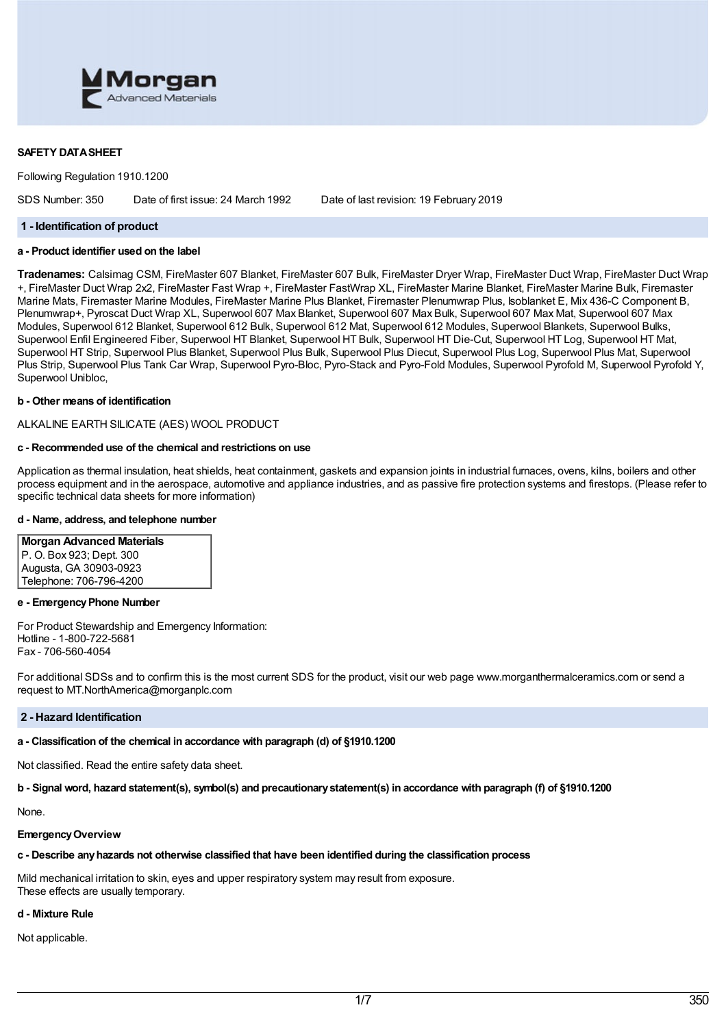

## **SAFETY DATASHEET**

Following Regulation 1910.1200

SDS Number: 350 Date of first issue: 24 March 1992 Date of last revision: 19 February 2019

#### **1 - Identification of product**

## **a - Product identifier used on the label**

**Tradenames:** Calsimag CSM, FireMaster 607 Blanket, FireMaster 607 Bulk, FireMaster Dryer Wrap, FireMaster Duct Wrap, FireMaster Duct Wrap +, FireMaster Duct Wrap 2x2, FireMaster Fast Wrap +, FireMaster FastWrap XL, FireMaster Marine Blanket, FireMaster Marine Bulk, Firemaster Marine Mats, Firemaster Marine Modules, FireMaster Marine Plus Blanket, Firemaster Plenumwrap Plus, Isoblanket E, Mix 436-C Component B, Plenumwrap+, Pyroscat Duct Wrap XL, Superwool 607 Max Blanket, Superwool 607 Max Bulk, Superwool 607 Max Mat, Superwool 607 Max Modules, Superwool 612 Blanket, Superwool 612 Bulk, Superwool 612 Mat, Superwool 612 Modules, Superwool Blankets, Superwool Bulks, Superwool Enfil Engineered Fiber, Superwool HT Blanket, Superwool HT Bulk, Superwool HT Die-Cut, Superwool HT Log, Superwool HT Mat, Superwool HT Strip, Superwool Plus Blanket, Superwool Plus Bulk, Superwool Plus Diecut, Superwool Plus Log, Superwool Plus Mat, Superwool Plus Strip, Superwool Plus Tank Car Wrap, Superwool Pyro-Bloc, Pyro-Stack and Pyro-Fold Modules, Superwool Pyrofold M, Superwool Pyrofold Y, Superwool Unibloc,

#### **b - Other means of identification**

ALKALINE EARTH SILICATE (AES) WOOL PRODUCT

#### **c - Recommended use of the chemical and restrictions on use**

Application as thermal insulation, heat shields, heat containment, gaskets and expansion joints in industrial furnaces, ovens, kilns, boilers and other process equipment and in the aerospace, automotive and appliance industries, and as passive fire protection systems and firestops. (Please refer to specific technical data sheets for more information)

### **d - Name, address, and telephone number**

**Morgan Advanced Materials** P. O. Box 923; Dept. 300 Augusta, GA 30903-0923 Telephone: 706-796-4200

#### **e - EmergencyPhone Number**

For Product Stewardship and Emergency Information: Hotline - 1-800-722-5681 Fax - 706-560-4054

For additional SDSs and to confirm this is the most current SDS for the product, visit our web page www.morganthermalceramics.com or send a request to MT.NorthAmerica@morganplc.com

#### **2 - Hazard Identification**

### **a - Classification of the chemical in accordance with paragraph (d) of §1910.1200**

Not classified. Read the entire safety data sheet.

b - Signal word, hazard statement(s), symbol(s) and precautionary statement(s) in accordance with paragraph (f) of §1910.1200

None.

#### **EmergencyOverview**

### **c - Describe anyhazards not otherwise classified that have been identified during the classification process**

Mild mechanical irritation to skin, eyes and upper respiratory system may result from exposure. These effects are usually temporary.

#### **d - Mixture Rule**

Not applicable.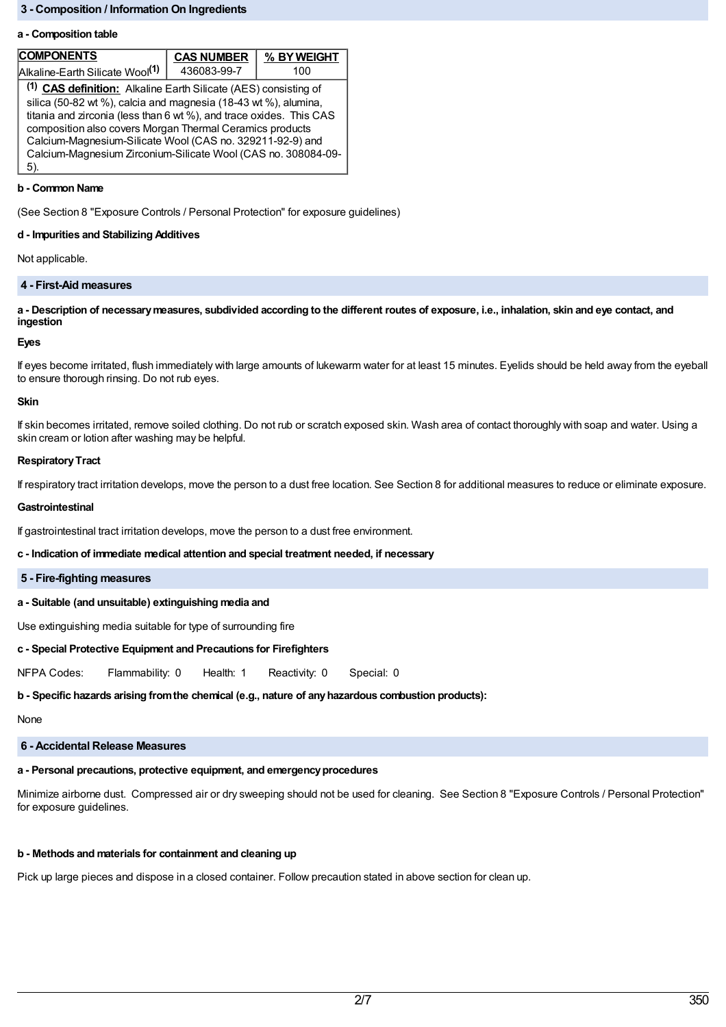## **3 - Composition / Information On Ingredients**

#### **a - Composition table**

| <b>COMPONENTS</b>                                                                                                                                                                                                                                                                                                                                                                                                     | <b>CAS NUMBER</b> | % BY WEIGHT |
|-----------------------------------------------------------------------------------------------------------------------------------------------------------------------------------------------------------------------------------------------------------------------------------------------------------------------------------------------------------------------------------------------------------------------|-------------------|-------------|
| Alkaline-Earth Silicate Wool <sup>(1)</sup>                                                                                                                                                                                                                                                                                                                                                                           | 436083-99-7       | 100         |
| <sup>(1)</sup> CAS definition: Alkaline Earth Silicate (AES) consisting of<br>silica (50-82 wt %), calcia and magnesia (18-43 wt %), alumina,<br>titania and zirconia (less than 6 wt %), and trace oxides. This CAS<br>composition also covers Morgan Thermal Ceramics products<br>Calcium-Magnesium-Silicate Wool (CAS no. 329211-92-9) and<br>Calcium-Magnesium Zirconium-Silicate Wool (CAS no. 308084-09-<br>5). |                   |             |

#### **b - Common Name**

(See Section 8 "Exposure Controls / Personal Protection" for exposure guidelines)

#### **d - Impurities and Stabilizing Additives**

Not applicable.

## **4 - First-Aid measures**

a - Description of necessary measures, subdivided according to the different routes of exposure, i.e., inhalation, skin and eye contact, and **ingestion**

#### **Eyes**

If eyes become irritated, flush immediately with large amounts of lukewarm water for at least 15 minutes. Eyelids should be held away from the eyeball to ensure thorough rinsing. Do not rub eyes.

#### **Skin**

If skin becomes irritated, remove soiled clothing. Do not rub or scratch exposed skin. Wash area of contact thoroughly with soap and water. Using a skin cream or lotion after washing may be helpful.

#### **Respiratory Tract**

If respiratory tract irritation develops, move the person to a dust free location. See Section 8 for additional measures to reduce or eliminate exposure.

#### **Gastrointestinal**

If gastrointestinal tract irritation develops, move the person to a dust free environment.

#### **c - Indication of immediate medical attention and special treatment needed, if necessary**

### **5 - Fire-fighting measures**

#### **a - Suitable (and unsuitable) extinguishing media and**

Use extinguishing media suitable for type of surrounding fire

### **c - Special Protective Equipment and Precautions for Firefighters**

NFPA Codes: Flammability: 0 Health: 1 Reactivity: 0 Special: 0

### **b - Specific hazards arising fromthe chemical (e.g., nature of anyhazardous combustion products):**

None

# **6 - Accidental Release Measures**

# **a - Personal precautions, protective equipment, and emergencyprocedures**

Minimize airborne dust. Compressed air or dry sweeping should not be used for cleaning. See Section 8 "Exposure Controls / Personal Protection" for exposure guidelines.

# **b - Methods and materials for containment and cleaning up**

Pick up large pieces and dispose in a closed container. Follow precaution stated in above section for clean up.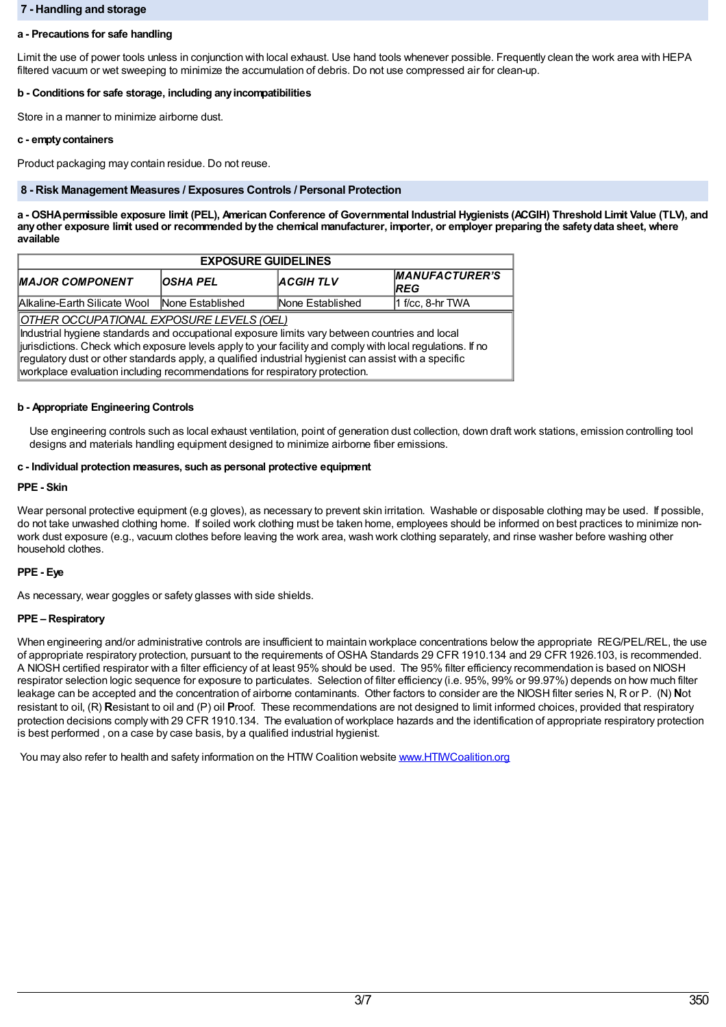## **7 - Handling and storage**

## **a - Precautions for safe handling**

Limit the use of power tools unless in conjunction with local exhaust. Use hand tools whenever possible. Frequently clean the work area with HEPA filtered vacuum or wet sweeping to minimize the accumulation of debris. Do not use compressed air for clean-up.

### **b - Conditions for safe storage, including anyincompatibilities**

Store in a manner to minimize airborne dust.

### **c - emptycontainers**

Product packaging may contain residue. Do not reuse.

### **8 - Risk Management Measures / Exposures Controls / Personal Protection**

a - OSHA permissible exposure limit (PEL), American Conference of Governmental Industrial Hygienists (ACGIH) Threshold Limit Value (TLV), and any other exposure limit used or recommended by the chemical manufacturer, importer, or employer preparing the safety data sheet, where **available**

| <b>EXPOSURE GUIDELINES</b>                                                                                                                                                                                                                                                                                                                                           |                 |                  |                                     |  |
|----------------------------------------------------------------------------------------------------------------------------------------------------------------------------------------------------------------------------------------------------------------------------------------------------------------------------------------------------------------------|-----------------|------------------|-------------------------------------|--|
| <b>MAJOR COMPONENT</b>                                                                                                                                                                                                                                                                                                                                               | <b>OSHA PEL</b> | <b>ACGIHTLV</b>  | <b>MANUFACTURER'S</b><br><b>REG</b> |  |
| Alkaline-Earth Silicate Wool None Established                                                                                                                                                                                                                                                                                                                        |                 | None Established | $1$ f/cc, 8-hr TWA                  |  |
| OTHER OCCUPATIONAL EXPOSURE LEVELS (OEL)<br>ndustrial hygiene standards and occupational exposure limits vary between countries and local<br>iurisdictions. Check which exposure levels apply to your facility and comply with local regulations. If no<br>$ $ regulatory dust or other standards apply, a qualified industrial hygienist can assist with a specific |                 |                  |                                     |  |

workplace evaluation including recommendations for respiratory protection.

## **b - Appropriate Engineering Controls**

Use engineering controls such as local exhaust ventilation, point of generation dust collection, down draft work stations, emission controlling tool designs and materials handling equipment designed to minimize airborne fiber emissions.

### **c - Individual protection measures, such as personal protective equipment**

## **PPE - Skin**

Wear personal protective equipment (e.g gloves), as necessary to prevent skin irritation. Washable or disposable clothing may be used. If possible, do not take unwashed clothing home. If soiled work clothing must be taken home, employees should be informed on best practices to minimize nonwork dust exposure (e.g., vacuum clothes before leaving the work area, wash work clothing separately, and rinse washer before washing other household clothes.

# **PPE - Eye**

As necessary, wear goggles or safety glasses with side shields.

# **PPE – Respiratory**

When engineering and/or administrative controls are insufficient to maintain workplace concentrations below the appropriate REG/PEL/REL, the use of appropriate respiratory protection, pursuant to the requirements of OSHA Standards 29 CFR 1910.134 and 29 CFR 1926.103, is recommended. A NIOSH certified respirator with a filter efficiency of at least 95% should be used. The 95% filter efficiency recommendation is based on NIOSH respirator selection logic sequence for exposure to particulates. Selection of filter efficiency (i.e. 95%, 99% or 99.97%) depends on how much filter leakage can be accepted and the concentration of airborne contaminants. Other factors to consider are the NIOSH filter series N, R or P. (N) **N**ot resistant to oil, (R) **R**esistant to oil and (P) oil **P**roof. These recommendations are not designed to limit informed choices, provided that respiratory protection decisions comply with 29 CFR 1910.134. The evaluation of workplace hazards and the identification of appropriate respiratory protection is best performed , on a case by case basis, by a qualified industrial hygienist.

You may also refer to health and safety information on the HTM Coalition website www.HTMCoalition.org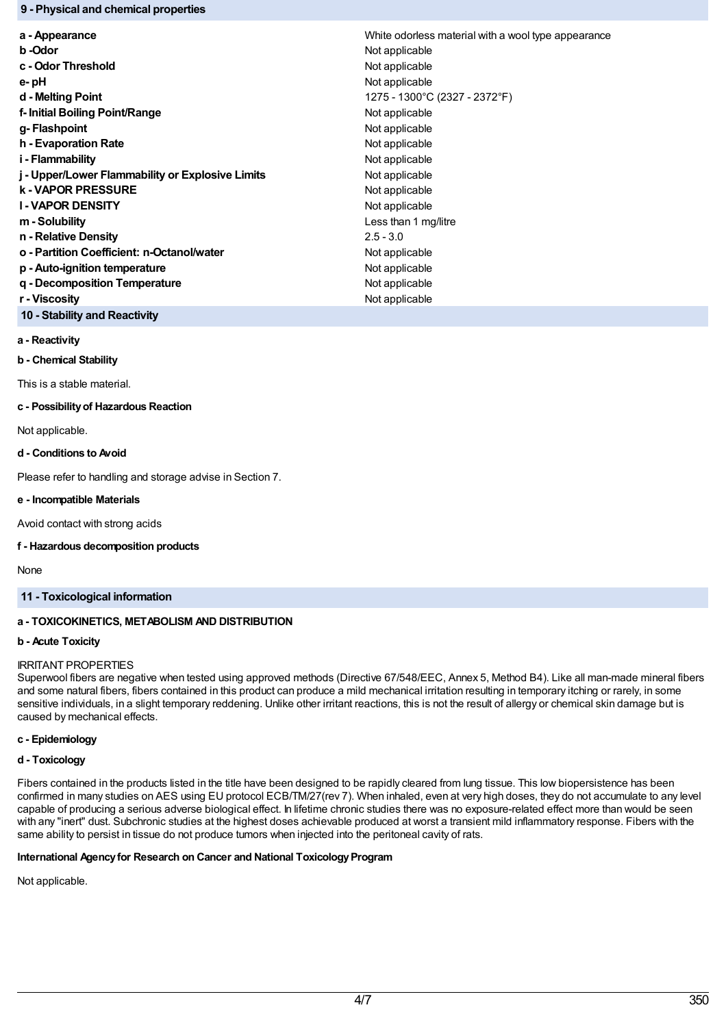## **9 - Physical and chemical properties**

| a - Appearance                                   | White odorless material with a wool type appearance |  |
|--------------------------------------------------|-----------------------------------------------------|--|
| b -Odor                                          | Not applicable                                      |  |
| c - Odor Threshold                               | Not applicable                                      |  |
| e-pH                                             | Not applicable                                      |  |
| d - Melting Point                                | 1275 - 1300°C (2327 - 2372°F)                       |  |
| f- Initial Boiling Point/Range                   | Not applicable                                      |  |
| g-Flashpoint                                     | Not applicable                                      |  |
| h - Evaporation Rate                             | Not applicable                                      |  |
| i - Flammability                                 | Not applicable                                      |  |
| j - Upper/Lower Flammability or Explosive Limits | Not applicable                                      |  |
| <b>k-VAPOR PRESSURE</b>                          | Not applicable                                      |  |
| <b>I-VAPOR DENSITY</b>                           | Not applicable                                      |  |
| m - Solubility                                   | Less than 1 mg/litre                                |  |
| n - Relative Density                             | $2.5 - 3.0$                                         |  |
| o - Partition Coefficient: n-Octanol/water       | Not applicable                                      |  |
| p - Auto-ignition temperature                    | Not applicable                                      |  |
| g - Decomposition Temperature                    | Not applicable                                      |  |
| r - Viscosity                                    | Not applicable                                      |  |
|                                                  |                                                     |  |

**10 - Stability and Reactivity**

**a - Reactivity**

**b - Chemical Stability**

This is a stable material.

#### **c - Possibilityof Hazardous Reaction**

Not applicable.

#### **d - Conditions to Avoid**

Please refer to handling and storage advise in Section 7.

### **e - Incompatible Materials**

Avoid contact with strong acids

### **f - Hazardous decomposition products**

None

# **11 - Toxicological information**

# **a - TOXICOKINETICS, METABOLISM AND DISTRIBUTION**

#### **b - Acute Toxicity**

#### IRRITANT PROPERTIES

Superwool fibers are negative when tested using approved methods (Directive 67/548/EEC, Annex 5, Method B4). Like all man-made mineral fibers and some natural fibers, fibers contained in this product can produce a mild mechanical irritation resulting in temporary itching or rarely, in some sensitive individuals, in a slight temporary reddening. Unlike other irritant reactions, this is not the result of allergy or chemical skin damage but is caused by mechanical effects.

# **c - Epidemiology**

# **d - Toxicology**

Fibers contained in the products listed in the title have been designed to be rapidly cleared from lung tissue. This low biopersistence has been confirmed in many studies on AES using EU protocol ECB/TM/27(rev 7). When inhaled, even at very high doses, they do not accumulate to any level capable of producing a serious adverse biological effect. In lifetime chronic studies there was no exposure-related effect more than would be seen with any "inert" dust. Subchronic studies at the highest doses achievable produced at worst a transient mild inflammatory response. Fibers with the same ability to persist in tissue do not produce tumors when injected into the peritoneal cavity of rats.

# **International Agencyfor Research on Cancer and National ToxicologyProgram**

Not applicable.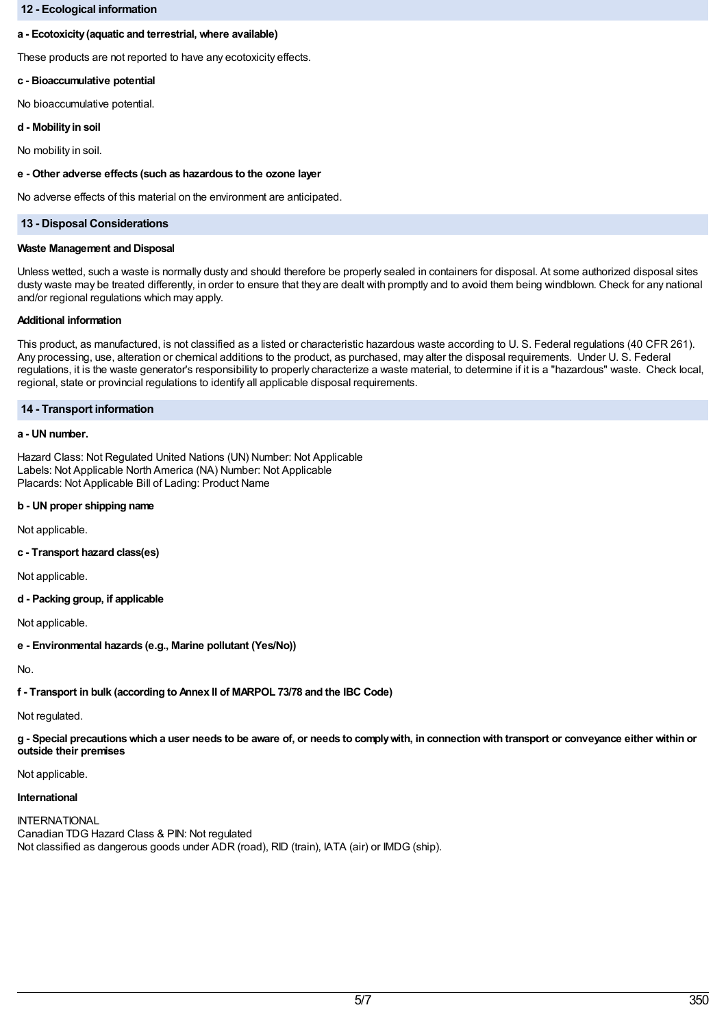## **12 - Ecological information**

### **a - Ecotoxicity(aquatic and terrestrial, where available)**

These products are not reported to have any ecotoxicity effects.

## **c - Bioaccumulative potential**

No bioaccumulative potential.

#### **d - Mobilityin soil**

No mobility in soil.

### **e - Other adverse effects (such as hazardous to the ozone layer**

No adverse effects of this material on the environment are anticipated.

## **13 - Disposal Considerations**

#### **Waste Management and Disposal**

Unless wetted, such a waste is normally dusty and should therefore be properly sealed in containers for disposal. At some authorized disposal sites dusty waste may be treated differently, in order to ensure that they are dealt with promptly and to avoid them being windblown. Check for any national and/or regional regulations which may apply.

### **Additional information**

This product, as manufactured, is not classified as a listed or characteristic hazardous waste according to U. S. Federal regulations (40 CFR 261). Any processing, use, alteration or chemical additions to the product, as purchased, may alter the disposal requirements. Under U. S. Federal regulations, it is the waste generator's responsibility to properly characterize a waste material, to determine if it is a "hazardous" waste. Check local, regional, state or provincial regulations to identify all applicable disposal requirements.

## **14 - Transport information**

## **a - UN number.**

Hazard Class: Not Regulated United Nations (UN) Number: Not Applicable Labels: Not Applicable North America (NA) Number: Not Applicable Placards: Not Applicable Bill of Lading: Product Name

### **b - UN proper shipping name**

Not applicable.

# **c - Transport hazard class(es)**

Not applicable.

### **d - Packing group, if applicable**

Not applicable.

**e - Environmental hazards (e.g., Marine pollutant (Yes/No))**

No.

**f - Transport in bulk (according to Annex II of MARPOL 73/78 and the IBC Code)**

Not regulated.

g - Special precautions which a user needs to be aware of, or needs to comply with, in connection with transport or conveyance either within or **outside their premises**

### Not applicable.

## **International**

**INTERNATIONAL** Canadian TDG Hazard Class & PIN: Not regulated Not classified as dangerous goods under ADR (road), RID (train), IATA (air) or IMDG (ship).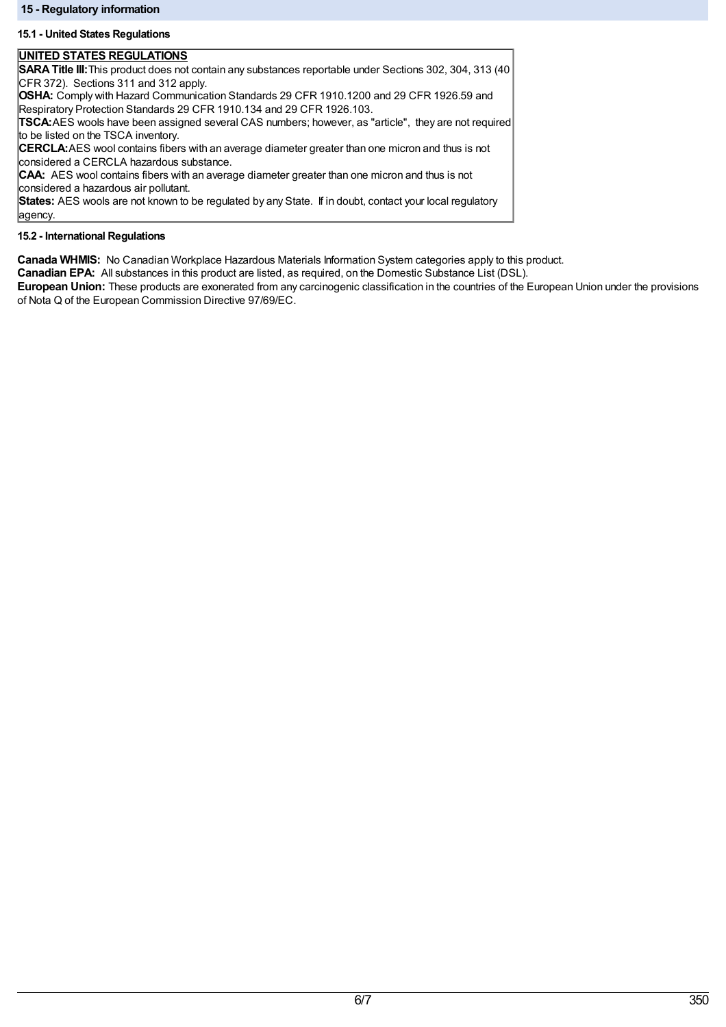## **15 - Regulatory information**

# **15.1 - United States Regulations**

# **UNITED STATES REGULATIONS**

**SARATitle III:**This product does not contain any substances reportable under Sections 302, 304, 313 (40 CFR 372). Sections 311 and 312 apply.

**OSHA:** Comply with Hazard Communication Standards 29 CFR 1910.1200 and 29 CFR 1926.59 and Respiratory Protection Standards 29 CFR 1910.134 and 29 CFR 1926.103.

**TSCA:**AES wools have been assigned several CAS numbers; however, as "article", they are not required to be listed on the TSCA inventory.

**CERCLA:**AES wool contains fibers with an average diameter greater than one micron and thus is not considered a CERCLA hazardous substance.

**CAA:** AES wool contains fibers with an average diameter greater than one micron and thus is not considered a hazardous air pollutant.

**States:** AES wools are not known to be regulated by any State. If in doubt, contact your local regulatory agency.

## **15.2 - International Regulations**

**Canada WHMIS:** No Canadian Workplace Hazardous Materials Information System categories apply to this product.

**Canadian EPA:** All substances in this product are listed, as required, on the Domestic Substance List (DSL).

**European Union:** These products are exonerated from any carcinogenic classification in the countries of the European Union under the provisions of Nota Q of the European Commission Directive 97/69/EC.